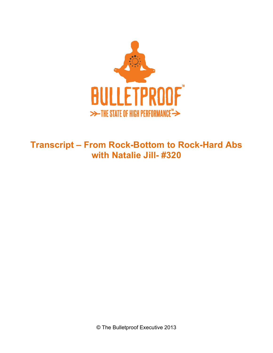

## **Transcript – From Rock-Bottom to Rock-Hard Abs with Natalie Jill- #320**

© The Bulletproof Executive 2013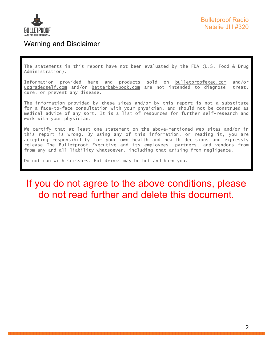

## Warning and Disclaimer

The statements in this report have not been evaluated by the FDA (U.S. Food & Drug Administration).

Information provided here and products sold on bulletproofexec.com and/or upgradedself.com and/or betterbabybook.com are not intended to diagnose, treat, cure, or prevent any disease.

The information provided by these sites and/or by this report is not a substitute for a face-to-face consultation with your physician, and should not be construed as medical advice of any sort. It is a list of resources for further self-research and work with your physician.

We certify that at least one statement on the above-mentioned web sites and/or in this report is wrong. By using any of this information, or reading it, you are accepting responsibility for your own health and health decisions and expressly release The Bulletproof Executive and its employees, partners, and vendors from from any and all liability whatsoever, including that arising from negligence.

Do not run with scissors. Hot drinks may be hot and burn you.

## If you do not agree to the above conditions, please do not read further and delete this document.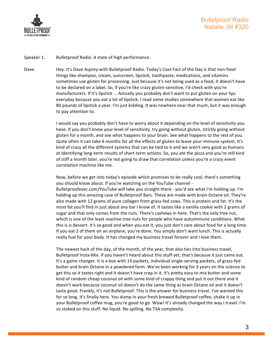

Speaker 1: Bulletproof Radio. A state of high performance.

Dave: Hey. It's Dave Asprey with Bulletproof Radio. Today's Cool Fact of the Day is that non-food things like shampoo, cream, sunscreen, lipstick, toothpaste, medications, and vitamins sometimes use gluten for processing. Just because it's not being used as a food, it doesn't have to be declared on a label. So, if you're like crazy gluten-sensitive, I'd check with you're manufacturers. If it's lipstick ... Actually you probably don't want to put gluten on your lips everyday because you eat a lot of lipstick. I read some studies somewhere that women eat like 80 pounds of lipstick a year. I'm just kidding. It was nowhere near that much, but it was enough to pay attention to.

> I would say you probably don't have to worry about it depending on the level of sensitivity you have. If you don't know your level of sensitivity, try going without gluten, strictly going without gluten for a month, and see what happens to your brain. See what happens to the rest of you. Quite often it can take 6 months for all the effects of gluten to leave your immune system. It's kind of crazy all the different systems that can be tied to it and we aren't very good as humans at identifying long-term results of short-term actions. So, you ate the pizza and you're still kind of stiff a month later, you're not going to draw that correlation unless you're a crazy event correlation machine like me.

Now, before we get into today's episode which promises to be really cool, there's something you should know about. If you're watching on the YouTube channel -Bulletproofexec.com/YouTube will take you straight there - you'd see what I'm holding up. I'm holding up this amazing case of Bulletproof Bars. These are made with brain Octane oil. They're also made with 12 grams of pure collagen from grass-fed cows. This is protein and fat. It's the most fat you'll find in just about any bar I know of. It tastes like a vanilla cookie with 2 grams of sugar and that only comes from the nuts. There's cashews in here. That's the only tree nut, which is one of the least reactive tree nuts for people who have autoimmune conditions. What this is is dessert. It's so good and when you eat it, you just don't care about food for a long time. If you eat 2 of them on an airplane, you're done. You simply don't want lunch. This is actually really fuel for your body. It has changed my business travel forever and I love them.

The newest hack of the day, of the month, of the year, that also ties into business travel, Bulletproof Insta-Mix. If you haven't heard about this stuff yet, that's because it just came out. It's a game changer. It is a box with 14 packets, individual single-serving packets, of grass-fed butter and brain Octane in a powdered form. We've been working for 3 years on the science to get this so it tastes right and it doesn't have crap in it. It's pretty easy to mix butter and some kind of random cheap coconut oil with some kind of crappy thing and put it out there and it doesn't work because coconut oil doesn't do the same thing as brain Octane oil and it doesn't taste good. Frankly, it's not Bulletproof. This is the answer for business travel. I've wanted this for so long. It's finally here. You dump in your fresh brewed Bulletproof coffee, shake it up in your Bulletproof coffee mug, you're good to go. Wow! It's already changed the way I travel. I'm so stoked on this stuff. No liquid. No spilling. No TSA complexity.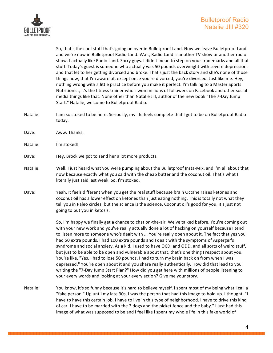

So, that's the cool stuff that's going on over in Bulletproof Land. Now we leave Bulletproof Land and we're now in Bulletproof Radio Land. Wait, Radio Land is another TV show or another radio show. I actually like Radio Land. Sorry guys. I didn't mean to step on your trademarks and all that stuff. Today's guest is someone who actually was 50 pounds overweight with severe depression, and that let to her getting divorced and broke. That's just the back story and she's none of those things now, that I'm aware of, except once you're divorced, you're divorced. Just like me. Hey, nothing wrong with a little practice before you make it perfect. I'm talking to a Master Sports Nutritionist, it's the fitness trainer who's won millions of followers on Facebook and other social media things like that. None other than Natalie Jill, author of the new book "The 7-Day Jump Start." Natalie, welcome to Bulletproof Radio.

- Natalie: I am so stoked to be here. Seriously, my life feels complete that I get to be on Bulletproof Radio today.
- Dave: Aww. Thanks.
- Natalie: I'm stoked!
- Dave: Hey, Brock we got to send her a lot more products.
- Natalie: Well, I just heard what you were pumping about the Bulletproof Insta-Mix, and I'm all about that now because exactly what you said with the cheap butter and the coconut oil. That's what I literally just said last week. So, I'm stoked.
- Dave: Yeah. It feels different when you get the real stuff because brain Octane raises ketones and coconut oil has a lower effect on ketones than just eating nothing. This is totally not what they tell you in Paleo circles, but the science is the science. Coconut oil's good for you, it's just not going to put you in ketosis.

So, I'm happy we finally get a chance to chat on-the-air. We've talked before. You're coming out with your new work and you've really actually done a lot of hacking on yourself because I tend to listen more to someone who's dealt with ... You're really open about it. The fact that yes you had 50 extra pounds. I had 100 extra pounds and I dealt with the symptoms of Asperger's syndrome and social anxiety. As a kid, I used to have OCD, and ODD, and all sorts of weird stuff, but just to be able to be open and vulnerable about that, that's one thing I respect about you. You're like, "Yes. I had to lose 50 pounds. I had to turn my brain back on from when I was depressed." You're open about it and you share really authentically. How did that lead to you writing the "7-Day Jump Start Plan?" How did you get here with millions of people listening to your every words and looking at your every action? Give me your story.

Natalie: You know, it's so funny because it's hard to believe myself. I spent most of my being what I call a "fake person." Up until my late 30s, I was the person that had this image to hold up. I thought, "I have to have this certain job. I have to live in this type of neighborhood. I have to drive this kind of car. I have to be married with the 2 dogs and the picket fence and the baby." I just had this image of what was supposed to be and I feel like I spent my whole life in this fake world of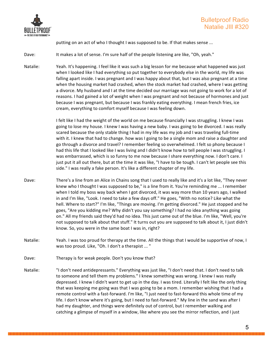

putting on an act of who I thought I was supposed to be. If that makes sense ...

Dave: It makes a lot of sense. I'm sure half of the people listening are like, "Oh, yeah."

Natalie: Yeah. It's happening. I feel like it was such a big lesson for me because what happened was just when I looked like I had everything so put together to everybody else in the world, my life was falling apart inside. I was pregnant and I was happy about that, but I was also pregnant at a time when the housing market had crashed, when the stock market had crashed, where I was getting a divorce. My husband and I at the time decided our marriage was not going to work for a lot of reasons. I had gained a lot of weight when I was pregnant and not because of hormones and just because I was pregnant, but because I was frankly eating everything. I mean french fries, ice cream, everything to comfort myself because I was feeling down.

> I felt like I had the weight of the world on me because financially I was struggling. I knew I was going to lose my house. I knew I was having a new baby. I was going to be divorced. I was really scared because the only stable thing I had in my life was my job and I was traveling full-time with it. I knew that had to change. how was I going to be a single mom and raise a daughter and go through a divorce and travel? I remember feeling so overwhelmed. I felt so phony because I had this life that I looked like I was living and I didn't know how to tell people I was struggling. I was embarrassed, which is so funny to me now because I share everything now. I don't care. I just put it all out there, but at the time it was like, "I have to be tough. I can't let people see this side." I was really a fake person. It's like a different chapter of my life.

- Dave: There's a line from an Alice in Chains song that I used to really like and it's a lot like, "They never knew who I thought I was supposed to be," is a line from it. You're reminding me ... I remember when I told my boss way back when I got divorced, it was way more than 10 years ago, I walked in and I'm like, "Look. I need to take a few days off." He goes, "With no notice? Like what the hell. Where to start?" I'm like, "Things are moving. I'm getting divorced." He just stopped and he goes, "Are you kidding me? Why didn't you say something? I had no idea anything was going on." All my friends said they'd had no idea. This just came out of the blue. I'm like, "Well, you're not supposed to talk about that stuff." It turns out you are supposed to talk about it, I just didn't know. So, you were in the same boat I was in, right?
- Natalie: Yeah. I was too proud for therapy at the time. All the things that I would be supportive of now, I was too proud. Like, "Oh. I don't a therapist ... "
- Dave: Therapy is for weak people. Don't you know that?
- Natalie: "I don't need antidepressants." Everything was just like, "I don't need that. I don't need to talk to someone and tell them my problems." I knew something was wrong. I knew I was really depressed. I knew I didn't want to get up in the day. I was tired. Literally I felt like the only thing that was keeping me going was that I was going to be a mom. I remember wishing that I had a remote control with a fast-forward. I'm like, "I just need to fast-forward this whole time of my life. I don't know where it's going, but I need to fast-forward." My line in the sand was after I had my daughter, and things were definitely out of control, but I remember walking and catching a glimpse of myself in a window, like where you see the mirror reflection, and I just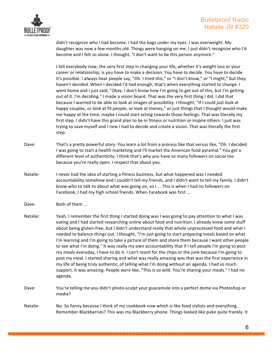

didn't recognize who I had become. I had the bags under my eyes. I was overweight. My daughter was now a few months old. Things were hanging on me. I just didn't recognize who I'd become and I felt so alone. I thought, "I don't want to be this person anymore."

I tell everybody now, the very first step in changing your life, whether it's weight loss or your career or relationship, is you have to make a decision. You have to decide. You have to decide it's possible. I always hear people say, "Oh. I tried this," or "I don't know," or "I might," but they haven't decided. When I decided I'd had enough, that's when everything started to change. I went home and I just said, "Okay. I don't know how I'm going to get out of this, but I'm getting out of it. I'm deciding." I made a vision board. That was the very first thing I did. I did that because I wanted to be able to look at images of possibility. I thought, "If I could just look at happy couples, or look at fit people, or look at money," or just things that I thought would make me happy at the time, maybe I could start acting towards those feelings. That was literally my first step. I didn't have this grand plan to be in fitness or nutrition or inspire others. I just was trying to save myself and I new I had to decide and create a vision. That was literally the first step.

- Dave: That's a pretty powerful story. You learn a lot from a process like that versus like, "Oh. I decided I was going to start a health marketing and I'll market the American food pyramid." You get a different level of authenticity. I think that's why you have so many followers on social too because you're really open. I respect that about you.
- Natalie: Inever had the idea of starting a fitness business, but what happened was I needed accountability somehow and I couldn't tell my friends, and I didn't want to tell my family. I didn't know who to talk to about what was going on, so I ... This is when I had no followers on Facebook, I had my high school friends. When Facebook was first ...

Dave: Both of them ...

- Natalie: Yeah. I remember the first thing I started doing was I was going to pay attention to what I was eating and I had started researching online about food and nutrition. I already knew some stuff about being gluten-free, but I didn't understand really that whole unprocessed food and what I needed to balance things out. I thought, "I'm just going to start preparing meals based on what I'm learning and I'm going to take a picture of them and share them because I want other people to see what I'm doing." It was really my own accountability that if I tell people I'm going to post my meals everyday, I have to do it. I can't reach for the chips or the junk because I'm going to post my meal. I started sharing and what was really amazing was that was the first experience in my life of being truly authentic, of telling what I'm doing without an agenda. I had so much support. It was amazing. People were like, "This is so wild. You're sharing your meals." I had no agenda.
- Dave: You're telling me you didn't photo-sculpt your guacamole into a perfect dome via Photoshop or media?

Natalie: No. So funny because I think of my cookbook now which is like food stylists and everything. Remember Blackberries? This was my Blackberry phone. Things looked like puke quite frankly. It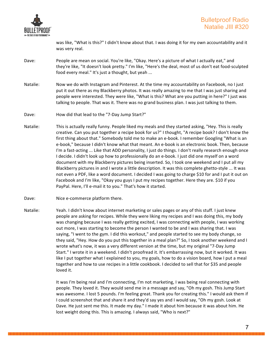

was like, "What is this?" I didn't know about that. I was doing it for my own accountability and it was very real.

- Dave: People are mean on social. You're like, "Okay. Here's a picture of what I actually eat," and they're like, "It doesn't look pretty." I'm like, "Here's the deal, most of us don't eat food-sculpted food every meal." It's just a thought, but yeah ...
- Natalie: Now we do with Instagram and Pinterest. At the time my accountability on Facebook, no I just put it out there as my Blackberry photos. It was really amazing to me that I was just sharing and people were interested. They were like, "What is this? What are you putting in here?" I just was talking to people. That was it. There was no grand business plan. I was just talking to them.
- Dave: How did that lead to the "7-Day Jump Start?"
- Natalie: This is actually really funny. People liked my meals and they started asking, "Hey. This is really creative. Can you put together a recipe book for us?" I thought, "A recipe book? I don't know the first thing about that." Somebody told me to make an e-book. I remember Googling "What is an e-book," because I didn't know what that meant. An e-book is an electronic book. Then, because I'm a fast-acting ... Like that ADD personality, I just do things. I don't really research enough once I decide. I didn't look up how to professionally do an e-book. I just did one myself on a word document with my Blackberry pictures being inserted. So, I took one weekend and I put all my Blackberry pictures in and I wrote a little description. It was this complete ghetto-style ... It was not even a PDF, like a word document. I decided I was going to charge \$10 for and I put it out on Facebook and I'm like, "Okay you guys I put my recipes together. Here they are. \$10 if you PayPal. Here, I'll e-mail it to you." That's how it started.
- Dave: Nice e-commerce platform there.
- Natalie: Yeah. I didn't know about internet marketing or sales pages or any of this stuff. I just knew people are asking for recipes. While they were liking my recipes and I was doing this, my body was changing because I was really getting excited, I was connecting with people, I was working out more, I was starting to become the person I wanted to be and I was sharing that. I was saying, "I went to the gym. I did this workout," and people started to see my body change, so they said, "Hey. How do you put this together in a meal plan?" So, I took another weekend and I wrote what's now, it was a very different version at the time, but my original "7-Day Jump Start." I wrote it in a weekend. I didn't proofread it. It's embarrassing now, but it worked. It was like I put together what I explained to you, my goals, how to do a vision board, how I put a meal together and how to use recipes in a little cookbook. I decided to sell that for \$35 and people loved it.

It was I'm being real and I'm connecting, I'm not marketing, I was being real connecting with people. They loved it. They would send me in a message and say, "Oh my gosh. This Jump Start was awesome. I lost 5 pounds. I'm feeling great. Thank you for creating this." I would ask them if I could screenshot that and share it and they'd say yes and I would say, "Oh my gosh. Look at Dave. He just sent me this. It made my day." I made it about him because it was about him. He lost weight doing this. This is amazing. I always said, "Who is next?"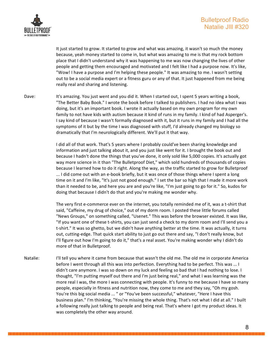

It just started to grow. It started to grow and what was amazing, it wasn't so much the money because, yeah money started to come in, but what was amazing to me is that my rock bottom place that I didn't understand why it was happening to me was now changing the lives of other people and getting them encouraged and motivated and I felt like I had a purpose now. It's like, "Wow! I have a purpose and I'm helping these people." It was amazing to me. I wasn't setting out to be a social media expert or a fitness guru or any of that. It just happened from me being really real and sharing and listening.

Dave: It's amazing. You just went and you did it. When I started out, I spent 5 years writing a book, "The Better Baby Book." I wrote the book before I talked to publishers. I had no idea what I was doing, but it's an important book. I wrote it actually based on my own program for my own family to not have kids with autism because it kind of runs in my family. I kind of had Asperger's. I say kind of because I wasn't formally diagnosed with it, but it runs in my family and I had all the symptoms of it but by the time I was diagnosed with stuff, I'd already changed my biology so dramatically that I'm neurologically different. We'll put it that way.

> I did all of that work. That's 5 years where I probably could've been sharing knowledge and information and just talking about it, and you just like went for it. I brought the book out and because I hadn't done the things that you've done, it only sold like 5,000 copies. It's actually got way more science in it than "The Bulletproof Diet," which sold hundreds of thousands of copies because I learned how to do it right. Along the way, as the traffic started to grow for Bulletproof ... I did come out with an e-book briefly, but it was once of those things where I spent a long time on it and I'm like, "It's just not good enough." I set the bar so high that I made it more work than it needed to be, and here you are and you're like, "I'm just going to go for it." So, kudos for doing that because I didn't do that and you're making me wonder why.

> The very first e-commerce ever on the internet, you totally reminded me of it, was a t-shirt that said, "Caffeine, my drug of choice," out of my dorm room. I posted these little forums called "News Groups," on something called, "Usenet." This was before the browser existed. It was like, "If you want one of these t-shirts, you can just send a check to my dorm room and I'll send you a t-shirt." It was so ghetto, but we didn't have anything better at the time. It was actually, it turns out, cutting-edge. That quick start ability to just go out there and say, "I don't really know, but I'll figure out how I'm going to do it," that's a real asset. You're making wonder why I didn't do more of that in Bulletproof.

Natalie: I'll tell you where it came from because that wasn't the old me. The old me in corporate America before I went through all this was into perfection. Everything had to be perfect. This was ... I didn't care anymore. I was so down on my luck and feeling so bad that I had nothing to lose. I thought, "I'm putting myself out there and I'm just being real," and what I was learning was the more real I was, the more I was connecting with people. It's funny to me because I have so many people, especially in fitness and nutrition now, they come to me and they say, "Oh my gosh. You're this big social media ... " or "You've been successful," whatever, "Here I have this business plan." I'm thinking, "You're missing the whole thing. That's not what I did at all." I built a following really just talking to people and being real. That's where I got my product ideas. It was completely the other way around.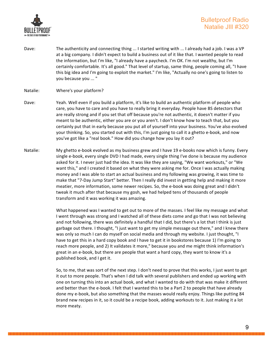

Dave: The authenticity and connecting thing ... I started writing with ... I already had a job. I was a VP at a big company. I didn't expect to build a business out of it like that. I wanted people to read the information, but I'm like, "I already have a paycheck. I'm OK. I'm not wealthy, but I'm certainly comfortable. It's all good." That level of startup, same thing, people coming all, "I have this big idea and I'm going to exploit the market." I'm like, "Actually no one's going to listen to you because you ... "

## Natalie: Where's your platform?

- Dave: Yeah. Well even if you build a platform, it's like to build an authentic platform of people who care, you have to care and you have to really bring it everyday. People have BS detectors that are really strong and if you set that off because you're not authentic, it doesn't matter if you meant to be authentic, either you are or you aren't. I don't know how to teach that, but you certainly put that in early because you put all of yourself into your business. You've also evolved your thinking. So, you started out with this, I'm just going to call it a ghetto e-book, and now you've got like a "real book." How did you change how you lay it out?
- Natalie: My ghetto e-book evolved as my business grew and I have 19 e-books now which is funny. Every single e-book, every single DVD I had made, every single thing I've done is because my audience asked for it. I never just had the idea. It was like they are saying, "We want workouts," or "We want this," and I created it based on what they were asking me for. Once I was actually making money and I was able to start an actual business and my following was growing, it was time to make that "7-Day Jump Start" better. Then I really did invest in getting help and making it more meatier, more information, some newer recipes. So, the e-book was doing great and I didn't tweak it much after that because my gosh, we had helped tens of thousands of people transform and it was working it was amazing.

What happened was I wanted to get out to more of the masses. I feel like my message and what I went through was strong and I watched all of these diets come and go that I was not believing and not following, there was definitely a handful that I did, but there's a lot that I think is just garbage out there. I thought, "I just want to get my simple message out there," and I knew there was only so much I can do myself on social media and through my website. I just thought, "I have to get this in a hard copy book and I have to get it in bookstores because 1) I'm going to reach more people, and 2) It validates it more," because you and me might think information's great in an e-book, but there are people that want a hard copy, they want to know it's a published book, and I get it.

So, to me, that was sort of the next step. I don't need to prove that this works, I just want to get it out to more people. That's when I did talk with several publishers and ended up working with one on turning this into an actual book, and what I wanted to do with that was make it different and better than the e-book. I felt that I wanted this to be a Part 2 to people that have already done my e-book, but also something that the masses would really enjoy. Things like putting 84 brand new recipes in it, so it could be a recipe book, adding workouts to it. Just making it a lot more meaty.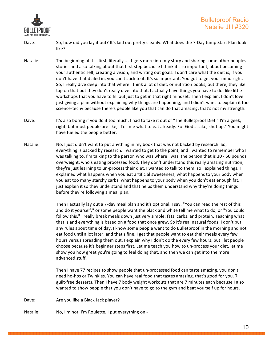

- Dave: So, how did you lay it out? It's laid out pretty cleanly. What does the 7-Day Jump Start Plan look like?
- Natalie: The beginning of it is first, literally ... It gets more into my story and sharing some other peoples stories and also talking about that first step because I think it's so important, about becoming your authentic self, creating a vision, and writing out goals. I don't care what the diet is, if you don't have that dialed in, you can't stick to it. It's so important. You got to get your mind right. So, I really dive deep into that where I think a lot of diet, or nutrition books, out there, they like tap on that but they don't really dive into that. I actually have things you have to do, like little workshops that you have to fill out just to get in that right mindset. Then I explain. I don't love just giving a plan without explaining why things are happening, and I didn't want to explain it too science-techy because there's people like you that can do that amazing, that's not my strength.
- Dave: It's also boring if you do it too much. I had to take it out of "The Bulletproof Diet." I'm a geek, right, but most people are like, "Tell me what to eat already. For God's sake, shut up." You might have fueled the people better.
- Natalie: No. I just didn't want to put anything in my book that was not backed by research. So, everything is backed by research. I wanted to get to the point, and I wanted to remember who I was talking to. I'm talking to the person who was where I was, the person that is 30 - 50 pounds overweight, who's eating processed food. They don't understand this really amazing nutrition, they're just learning to un-process their diet. I wanted to talk to them, so I explained things. I explained what happens when you eat artificial sweeteners, what happens to your body when you eat too many starchy carbs, what happens to your body when you don't eat enough fat. I just explain it so they understand and that helps them understand why they're doing things before they're following a meal plan.

Then I actually lay out a 7-day meal plan and it's optional. I say, "You can read the rest of this and do it yourself," or some people want the black and white tell me what to do, or "You could follow this." I really break meals down just very simple: fats, carbs, and protein. Teaching what that is and everything is based on a food that once grew. So it's real natural foods. I don't put any rules about time of day. I know some people want to do Bulletproof in the morning and not eat food until a lot later, and that's fine. I get that people want to eat their meals every few hours versus spreading them out. I explain why I don't do the every few hours, but I let people choose because it's beginner steps first. Let me teach you how to un-process your diet, let me show you how great you're going to feel doing that, and then we can get into the more advanced stuff.

Then I have 77 recipes to show people that un-processed food can taste amazing, you don't need ho-hos or Twinkies. You can have real food that tastes amazing, that's good for you. 7 guilt-free desserts. Then I have 7 body weight workouts that are 7 minutes each because I also wanted to show people that you don't have to go to the gym and beat yourself up for hours.

Dave: Are you like a Black Jack player?

Natalie: No, I'm not. I'm Roulette, I put everything on -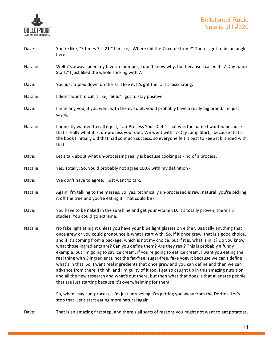

| Dave:    | You're like, "3 times 7 is 21." I'm like, "Where did the 7s come from?" There's got to be an angle<br>here.                                                                                                                                                                                                                                                                                                                                                                                                                                                                                                                                                                                                                                                                                                                                                                                                                                                                                 |
|----------|---------------------------------------------------------------------------------------------------------------------------------------------------------------------------------------------------------------------------------------------------------------------------------------------------------------------------------------------------------------------------------------------------------------------------------------------------------------------------------------------------------------------------------------------------------------------------------------------------------------------------------------------------------------------------------------------------------------------------------------------------------------------------------------------------------------------------------------------------------------------------------------------------------------------------------------------------------------------------------------------|
| Natalie: | Well 7's always been my favorite number, I don't know why, but because I called it "7-Day Jump<br>Start," I just liked the whole sticking with 7.                                                                                                                                                                                                                                                                                                                                                                                                                                                                                                                                                                                                                                                                                                                                                                                                                                           |
| Dave:    | You just tripled down on the 7s. I like it. It's got the  It's fascinating.                                                                                                                                                                                                                                                                                                                                                                                                                                                                                                                                                                                                                                                                                                                                                                                                                                                                                                                 |
| Natalie: | I didn't want to call it like, "666." I got to stay positive.                                                                                                                                                                                                                                                                                                                                                                                                                                                                                                                                                                                                                                                                                                                                                                                                                                                                                                                               |
| Dave:    | I'm telling you, if you went with the evil diet, you'd probably have a really big brand. I'm just<br>saying.                                                                                                                                                                                                                                                                                                                                                                                                                                                                                                                                                                                                                                                                                                                                                                                                                                                                                |
| Natalie: | I honestly wanted to call it just, "Un-Process Your Diet." That was the name I wanted because<br>that's really what it is, un-process your diet. We went with "7-Day Jump Start," because that's<br>the book I initially did that had so much success, so everyone felt it best to keep it branded with<br>that.                                                                                                                                                                                                                                                                                                                                                                                                                                                                                                                                                                                                                                                                            |
| Dave:    | Let's talk about what un-processing really is because cooking is kind of a process.                                                                                                                                                                                                                                                                                                                                                                                                                                                                                                                                                                                                                                                                                                                                                                                                                                                                                                         |
| Natalie: | Yes. Totally. So, you'd probably not agree 100% with my definition -                                                                                                                                                                                                                                                                                                                                                                                                                                                                                                                                                                                                                                                                                                                                                                                                                                                                                                                        |
| Dave:    | We don't have to agree. I just want to talk.                                                                                                                                                                                                                                                                                                                                                                                                                                                                                                                                                                                                                                                                                                                                                                                                                                                                                                                                                |
| Natalie: | Again, I'm talking to the masses. So, yes, technically un-processed is raw, natural, you're picking<br>it off the tree and you're eating it. That could be -                                                                                                                                                                                                                                                                                                                                                                                                                                                                                                                                                                                                                                                                                                                                                                                                                                |
| Dave:    | You have to be naked in the sunshine and get your vitamin D. It's totally proven, there's 3<br>studies. You could go extreme.                                                                                                                                                                                                                                                                                                                                                                                                                                                                                                                                                                                                                                                                                                                                                                                                                                                               |
| Natalie: | No fake light at night unless you have your blue light glasses on either. Basically anything that<br>once grew or you could pronounce is what I start with. So, if it once grew, that is a good choice,<br>and if it's coming from a package, which is not my choice, but if it is, what is in it? Do you know<br>what those ingredients are? Can you define them? Are they real? This is probably a funny<br>example, but I'm going to say ice cream. If you're going to eat ice cream, I want you eating the<br>real thing with 3 ingredients, not the fat-free, sugar-free, fake yogurt because we can't define<br>what's in that. So, I want real ingredients that once grew and you can define and then we can<br>advance from there. I think, and I'm guilty of it too, I get so caught up in this amazing nutrition<br>and all the new research and what's out there, but then what that does is that alienates people<br>that are just starting because it's overwhelming for them. |
|          | So, when I say "un-process," I'm just unraveling. I'm getting you away from the Doritos. Let's<br>stop that. Let's start eating more natural again.                                                                                                                                                                                                                                                                                                                                                                                                                                                                                                                                                                                                                                                                                                                                                                                                                                         |
| Dave:    | That is an amazing first step, and there's all sorts of reasons you might not want to eat potatoes.                                                                                                                                                                                                                                                                                                                                                                                                                                                                                                                                                                                                                                                                                                                                                                                                                                                                                         |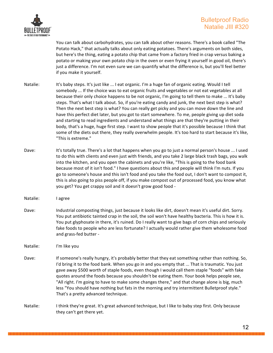

You can talk about carbohydrates, you can talk about other reasons. There's a book called "The Potato Hack," that actually talks about only eating potatoes. There's arguments on both sides, but here's the thing, eating a potato chip that came from a factory fried in crap versus baking a potato or making your own potato chip in the oven or even frying it yourself in good oil, there's just a difference. I'm not even sure we can quantify what the difference is, but you'll feel better if you make it yourself.

- Natalie: It's baby steps. It's just like ... I eat organic. I'm a huge fan of organic eating. Would I tell somebody ... If the choice was to eat organic fruits and vegetables or not eat vegetables at all because their only choice happens to be not organic, I'm going to tell them to make ... It's baby steps. That's what I talk about. So, if you're eating candy and junk, the next best step is what? Then the next best step is what? You can really get picky and you can move down the line and have this perfect diet later, but you got to start somewhere. To me, people giving up diet soda and starting to read ingredients and understand what things are that they're putting in their body, that's a huge, huge first step. I want to show people that it's possible because I think that some of the diets out there, they really overwhelm people. It's too hard to start because it's like, "This is extreme."
- Dave: It's totally true. There's a lot that happens when you go to just a normal person's house ... I used to do this with clients and even just with friends, and you take 2 large black trash bags, you walk into the kitchen, and you open the cabinets and you're like, "This is going to the food bank because most of it isn't food." I have questions about this and people will think I'm nuts. If you go to someone's house and this isn't food and you take the food out, I don't want to compost it, this is also going to piss people off, if you make compost out of processed food, you know what you get? You get crappy soil and it doesn't grow good food -
- Natalie: lagree
- Dave: Industrial composting things, just because it looks like dirt, doesn't mean it's useful dirt. Sorry. You put antibiotic tainted crap in the soil, the soil won't have healthy bacteria. This is how it is. You put glyphosate in there, it's ruined. Do I really want to give bags of corn chips and seriously fake foods to people who are less fortunate? I actually would rather give them wholesome food and grass-fed butter -

Natalie: I'm like you

- Dave: If someone's really hungry, it's probably better that they eat something rather than nothing. So, I'd bring it to the food bank. When you go in and you empty that ... That is traumatic. You just gave away \$500 worth of staple foods, even though I would call them staple "foods" with fake quotes around the foods because you shouldn't be eating them. Your book helps people see, "All right. I'm going to have to make some changes there," and that change alone is big, much less "You should have nothing but fats in the morning and try intermittent Bulletproof style." That's a pretty advanced technique.
- Natalie: I think they're great. It's great advanced technique, but I like to baby step first. Only because they can't get there yet.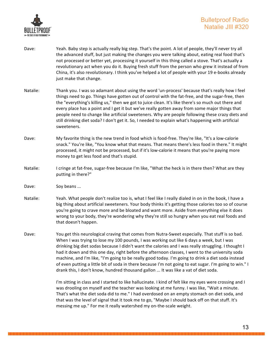

- Dave: Yeah. Baby step is actually really big step. That's the point. A lot of people, they'll never try all the advanced stuff, but just making the changes you were talking about, eating real food that's not processed or better yet, processing it yourself in this thing called a stove. That's actually a revolutionary act when you do it. Buying fresh stuff from the person who grew it instead of from China, it's also revolutionary. I think you've helped a lot of people with your 19 e-books already just make that change.
- Natalie: Thank you. I was so adamant about using the word 'un-process' because that's really how I feel things need to go. Things have gotten out of control with the fat-free, and the sugar-free, then the "everything's killing us," then we got to juice clean. It's like there's so much out there and every place has a point and I get it but we've really gotten away from some major things that people need to change like artificial sweeteners. Why are people following these crazy diets and still drinking diet soda? I don't get it. So, I needed to explain what's happening with artificial sweeteners.
- Dave: My favorite thing is the new trend in food which is food-free. They're like, "It's a low-calorie snack." You're like, "You know what that means. That means there's less food in there." It might processed, it might not be processed, but if it's low-calorie it means that you're paying more money to get less food and that's stupid.
- Natalie: I cringe at fat-free, sugar-free because I'm like, "What the heck is in there then? What are they putting in there?"
- Dave: Soy beans ...
- Natalie: Yeah. What people don't realize too is, what I feel like I really dialed in on in the book, I have a big thing about artificial sweeteners. Your body thinks it's getting those calories too so of course you're going to crave more and be bloated and want more. Aside from everything else it does wrong to your body, they're wondering why they're still so hungry when you eat real foods and that doesn't happen.
- Dave: You get this neurological craving that comes from Nutra-Sweet especially. That stuff is so bad. When I was trying to lose my 100 pounds, I was working out like 6 days a week, but I was drinking big diet sodas because I didn't want the calories and I was really struggling. I thought I had it down and this one day, right before the afternoon classes, I went to the university soda machine, and I'm like, "I'm going to be really good today. I'm going to drink a diet soda instead of even putting a little bit of soda in there because I'm not going to eat sugar. I'm going to win." I drank this, I don't know, hundred thousand gallon ... It was like a vat of diet soda.

I'm sitting in class and I started to like hallucinate. I kind of felt like my eyes were crossing and I was drooling on myself and the teacher was looking at me funny. I was like, "Wait a minute. That's what the diet soda did to me." I had overdosed on an empty stomach on diet soda, and that was the level of signal that it took me to go, "Maybe I should back off on that stuff. It's messing me up." For me it really watershed my on-the-scale weight.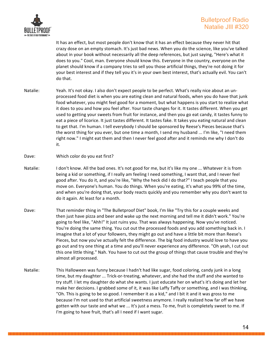

It has an effect, but most people don't know that it has an effect because they never hit that crazy dose on an empty stomach. It's just bad news. When you do the science, like you've talked about in your book without necessarily all the deep references, but just saying, "Here's what it does to you." Cool, man. Everyone should know this. Everyone in the country, everyone on the planet should know if a company tries to sell you those artificial things, they're not doing it for your best interest and if they tell you it's in your own best interest, that's actually evil. You can't do that.

- Natalie: Yeah. It's not okay. I also don't expect people to be perfect. What's really nice about an unprocessed food diet is when you are eating clean and natural foods, when you do have that junk food whatever, you might feel good for a moment, but what happens is you start to realize what it does to you and how you feel after. Your taste changes for it. It tastes different. When you get used to getting your sweets from fruit for instance, and then you go eat candy, it tastes funny to eat a piece of licorice. It just tastes different. It tastes fake. It takes you eating natural and clean to get that. I'm human. I tell everybody I should be sponsored by Reese's Pieces because that's the worst thing for you ever, but one time a month, I send my husband ... I'm like, "I need them right now." I might eat them and then I never feel good after and it reminds me why I don't do it.
- Dave: Which color do you eat first?
- Natalie: I don't know. All the bad ones. It's not good for me, but it's like my one ... Whatever it is from being a kid or something, if I really am feeling I need something, I want that, and I never feel good after. You do it, and you're like, "Why the heck did I do that?" I teach people that you move on. Everyone's human. You do things. When you're eating, it's what you 99% of the time, and when you're doing that, your body reacts quickly and you remember why you don't want to do it again. At least for a month.
- Dave: That reminder thing in "The Bulletproof Diet" book, I'm like "Try this for a couple weeks and then just have pizza and beer and wake up the next morning and tell me it didn't work." You're going to feel like, "Ahh!" It just ruins you. That was always happening. Now you've noticed. You're doing the same thing. You cut out the processed foods and you add something back in. I imagine that a lot of your followers, they might go out and have a little bit more than Reese's Pieces, but now you've actually felt the difference. The big food industry would love to have you go out and try one thing at a time and you'll never experience any difference. "Oh yeah, I cut out this one little thing." Nah. You have to cut out the group of things that cause trouble and they're almost all processed.
- Natalie: This Halloween was funny because I hadn't had like sugar, food coloring, candy junk in a long time, but my daughter ... Trick-or-treating, whatever, and she had the stuff and she wanted to try stuff. I let my daughter do what she wants. I just educate her on what's it's doing and let her make her decisions. I grabbed some of it, it was like Laffy Taffy or something, and I was thinking, "Oh. This is going to be so good. I remember it as a kid," and I bit it and it was gross to me because I'm not used to that artificial sweetness anymore. I really realized how far off we have gotten with our taste and what we ... It's just a mess. To me, fruit is completely sweet to me. If I'm going to have fruit, that's all I need if I want sugar.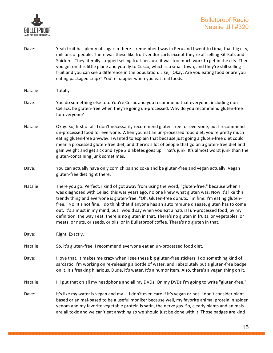

Dave: Yeah fruit has plenty of sugar in there. I remember I was in Peru and I went to Lima, that big city, millions of people. There was these like fruit vendor carts except they're all selling Kit-Kats and Snickers. They literally stopped selling fruit because it was too much work to get in the city. Then you get on this little plane and you fly to Cusco, which is a small town, and they're still selling fruit and you can see a difference in the population. Like, "Okay. Are you eating food or are you eating packaged crap?" You're happier when you eat real foods.

- Dave: You do something else too. You're Celiac and you recommend that everyone, including non-Celiacs, be gluten-free when they're going un-processed. Why do you recommend gluten-free for everyone?
- Natalie: Okay. So, first of all, I don't necessarily recommend gluten-free for everyone, but I recommend un-processed food for everyone. When you eat an un-processed food diet, you're pretty much eating gluten-free anyway. I wanted to explain that because just going a gluten-free diet could mean a processed gluten-free diet, and there's a lot of people that go on a gluten-free diet and gain weight and get sick and Type 2 diabetes goes up. That's junk. It's almost worst junk than the gluten-containing junk sometimes.
- Dave: You can actually have only corn chips and coke and be gluten-free and vegan actually. Vegan gluten-free diet right there.
- Natalie: There you go. Perfect. I kind of got away from using the word, "gluten-free," because when I was diagnosed with Celiac, this was years ago, no one knew what gluten was. Now it's like this trendy thing and everyone is gluten-free. "Oh. Gluten-free donuts. I'm fine. I'm eating glutenfree." No. It's not fine. I do think that if anyone has an autoimmune disease, gluten has to come out. It's a must in my mind, but I would say when you eat a natural un-processed food, by my definition, the way I eat, there is no gluten in that. There's no gluten in fruits, or vegetables, or meats, or nuts, or seeds, or oils, or in Bulletproof coffee. There's no gluten in that.
- Dave: Right. Exactly.
- Natalie: So, it's gluten-free. I recommend everyone eat an un-processed food diet.
- Dave: I love that. It makes me crazy when I see these big gluten-free stickers. I do something kind of sarcastic. I'm working on re-releasing a bottle of water, and I absolutely put a gluten-free badge on it. It's freaking hilarious. Dude, it's water. It's a humor item. Also, there's a vegan thing on it.

Natalie: I'll put that on all my headphone and all my DVDs. On my DVDs I'm going to write "gluten-free."

Dave: It's like my water is vegan and my ... I don't even care if it's vegan or not. I don't consider plantbased or animal-based to be a useful moniker because well, my favorite animal protein in spider venom and my favorite vegetable protein is sarin, the nerve gas. So, clearly plants and animals are all toxic and we can't eat anything so we should just be done with it. Those badges are kind

Natalie: Totally.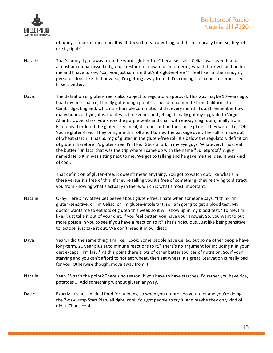

of funny. It doesn't mean healthy. It doesn't mean anything, but it's technically true. So, hey let's use it, right?

- Natalie: That's funny. I got away from the word "gluten-free" because I, as a Celiac, was over it, and almost am embarrassed if I go to a restaurant now and I'm ordering what I think will be fine for me and I have to say, "Can you just confirm that's it's gluten-free?" I feel like I'm the annoying person. I don't like that now. So, I'm getting away from it. I'm coining the name "un-processed." I like it better.
- Dave: The definition of gluten-free is also subject to regulatory approval. This was maybe 10 years ago, I had my first chance, I finally got enough points ... I used to commute from California to Cambridge, England, which is a horrible commute. I did it every month. I don't remember how many hours of flying it is, but it was time zones and jet lag. I finally got my upgrade to Virgin Atlantic Upper class, you know the purple seats and chair with enough leg room, finally from Economy. I ordered the gluten-free meal, it comes out on these nice plates. They were like, "Oh. You're gluten-free." They bring me this roll and I turned the package over. The roll is made out of wheat starch. It has 60 mg of gluten in the gluten-free roll. It's below the regulatory definition of gluten therefore it's gluten-free. I'm like, "Stick a fork in my eye guys. Whatever. I'll just eat the butter." In fact, that was the trip where I came up with the name "Bulletproof." A guy named Herb Kim was sitting next to me. We got to talking and he gave me the idea. It was kind of cool.

That definition of gluten-free, it doesn't mean anything. You got to watch out, like what's in there versus it's free of this. If they're telling you it's free of something, they're trying to distract you from knowing what's actually in there, which is what's most important.

- Natalie: Okay. Here's my other pet peeve about gluten-free. I hate when someone says, "I think I'm gluten-sensitive, or I'm Celiac, or I'm gluten-intolerant, so I am going to get a blood test. My doctor wants me to eat lots of gluten this week so it will show up in my blood test." To me, I'm like, "Just take it out of your diet. If you feel better, you have your answer. So, you want to put more poison in you to see if you have a reaction to it? That's ridiculous. Just like being sensitive to lactose, just take it out. We don't need it in our diets.
- Dave: Yeah. I did the same thing. I'm like, "Look. Some people have Celiac, but some other people have long-term, 20 year plus autoimmune reactions to it." There's no argument for including it in your diet except, "I'm lazy." At this point there's lots of other better sources of nutrition. So, if your starving and you can't afford to not eat wheat, then eat wheat. It's great. Starvation is really bad for you. Otherwise though, move away from it.
- Natalie: Yeah. What's the point? There's no reason. If you have to have starches, I'd rather you have rice, potatoes ... Add something without gluten anyway.
- Dave: Exactly. It's not an ideal food for humans, so when you un-process your diet and you're doing the 7-day Jump Start Plan, all right, cool. You got people to try it, and maybe they only kind of did it. That's cool.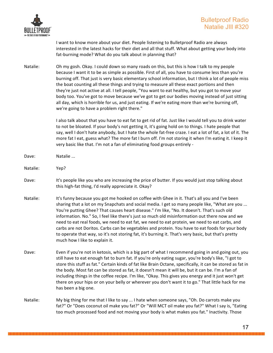

I want to know more about your diet. People listening to Bulletproof Radio are always interested in the latest hacks for their diet and all that stuff. What about getting your body into fat-burning mode? What do you talk about in planning that?

Natalie: Oh my gosh. Okay. I could down so many roads on this, but this is how I talk to my people because I want it to be as simple as possible. First of all, you have to consume less than you're burning off. That just is very basic elementary school information, but I think a lot of people miss the boat counting all these things and trying to measure all these exact portions and then they're just not active at all. I tell people, "You want to eat healthy, but you got to move your body too. You've got to move because we've got to get our bodies moving instead of just sitting all day, which is horrible for us, and just eating. If we're eating more than we're burning off, we're going to have a problem right there."

> I also talk about that you have to eat fat to get rid of fat. Just like I would tell you to drink water to not be bloated. If your body's not getting it, it's going hold on to things. I hate people that say, well I don't hate anybody, but I hate the whole fat-free craze. I eat a lot of fat, a lot of it. The more fat I eat, guess what? The more fat I burn off. I'm not storing it when I'm eating it. I keep it very basic like that. I'm not a fan of eliminating food groups entirely -

- Dave: Natalie ...
- Natalie: Yep?
- Dave: It's people like you who are increasing the price of butter. If you would just stop talking about this high-fat thing, I'd really appreciate it. Okay?
- Natalie: It's funny because you got me hooked on coffee with Ghee in it. That's all you and I've been sharing that a lot on my Snapchats and social media. I get so many people like, "What are you ... You're putting Ghee? That causes heart disease." I'm like, "No. It doesn't. That's such old information. No." So, I feel like there's just so much old misinformation out there now and we need to eat real foods, we need to eat fat, we need to eat protein, we need to eat carbs, and carbs are not Doritos. Carbs can be vegetables and protein. You have to eat foods for your body to operate that way, so it's not storing fat, it's burning it. That's very basic, but that's pretty much how I like to explain it.
- Dave: Even if you're not in ketosis, which is a big part of what I recommend going in and going out, you still have to eat enough fat to burn fat. If you're only eating sugar, you're body's like, "I got to store this stuff as fat." Certain kinds of fat like Brain Octane, specifically, it can be stored as fat in the body. Most fat can be stored as fat, it doesn't mean it will be, but it can be. I'm a fan of including things in the coffee recipe. I'm like, "Okay. This gives you energy and it just won't get there on your hips or on your belly or wherever you don't want it to go." That little hack for me has been a big one.
- Natalie: My big thing for me that I like to say ... I hate when someone says, "Oh. Do carrots make you fat?" Or "Does coconut oil make you fat?" Or "Will MCT oil make you fat?" What I say is, "Eating too much processed food and not moving your body is what makes you fat." Inactivity. Those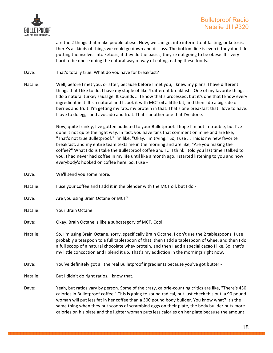

are the 2 things that make people obese. Now, we can get into intermittent fasting, or ketosis, there's all kinds of things we could go down and discuss. The bottom line is even if they don't do putting themselves into ketosis, if they do the basics, they're not going to be obese. It's very hard to be obese doing the natural way of way of eating, eating these foods.

Dave: That's totally true. What do you have for breakfast?

Natalie: Well, before I met you, or after, because before I met you, I knew my plans. I have different things that I like to do. I have my staple of like 4 different breakfasts. One of my favorite things is I do a natural turkey sausage. It sounds ... I know that's processed, but it's one that I know every ingredient in it. It's a natural and I cook it with MCT oil a little bit, and then I do a big side of berries and fruit. I'm getting my fats, my protein in that. That's one breakfast that I love to have. I love to do eggs and avocado and fruit. That's another one that I've done.

> Now, quite frankly, I've gotten addicted to your Bulletproof. I hope I'm not in trouble, but I've done it not quite the right way. In fact, you have fans that comment on mine and are like, "That's not true Bulletproof." I'm like, "Okay. I'm trying." So, I use ... This is my new favorite breakfast, and my entire team texts me in the morning and are like, "Are you making the coffee?" What I do is I take the Bulletproof coffee and I ... I think I told you last time I talked to you, I had never had coffee in my life until like a month ago. I started listening to you and now everybody's hooked on coffee here. So, I use -

Dave: We'll send you some more.

Natalie: I use your coffee and I add it in the blender with the MCT oil, but I do -

- Dave: Are you using Brain Octane or MCT?
- Natalie: Your Brain Octane.
- Dave: Okay. Brain Octane is like a subcategory of MCT. Cool.
- Natalie: So, I'm using Brain Octane, sorry, specifically Brain Octane. I don't use the 2 tablespoons. I use probably a teaspoon to a full tablespoon of that, then I add a tablespoon of Ghee, and then I do a full scoop of a natural chocolate whey protein, and then I add a special cacao I like. So, that's my little concoction and I blend it up. That's my addiction in the mornings right now.
- Dave: You've definitely got all the real Bulletproof ingredients because you've got butter -
- Natalie: But I didn't do right ratios. I know that.
- Dave: Yeah, but ratios vary by person. Some of the crazy, calorie-counting critics are like, "There's 430 calories in Bulletproof coffee." This is going to sound radical, but just check this out, a 90 pound woman will put less fat in her coffee than a 300 pound body builder. You know what? It's the same thing when they put scoops of scrambled eggs on their plate, the body builder puts more calories on his plate and the lighter woman puts less calories on her plate because the amount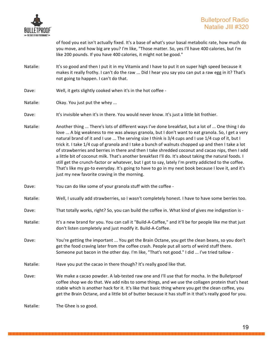

of food you eat isn't actually fixed. It's a base of what's your basal metabolic rate, how much do you move, and how big are you? I'm like, "Those matter. So, yes I'll have 400 calories, but I'm like 200 pounds. If you have 400 calories, it might not be good."

- Natalie: It's so good and then I put it in my Vitamix and I have to put it on super high speed because it makes it really frothy. I can't do the raw ... Did I hear you say you can put a raw egg in it? That's not going to happen. I can't do that.
- Dave: Well, it gets slightly cooked when it's in the hot coffee -
- Natalie: Okay. You just put the whey ...
- Dave: It's invisible when it's in there. You would never know. It's just a little bit frothier.
- Natalie: Another thing ... There's lots of different ways I've done breakfast, but a lot of ... One thing I do love ... A big weakness to me was always granola, but I don't want to eat granola. So, I get a very natural brand of it and I use ... The serving size I think is 3/4 cups and I use 1/4 cup of it, but I trick it. I take 1/4 cup of granola and I take a bunch of walnuts chopped up and then I take a lot of strawberries and berries in there and then I take shredded coconut and cacao nips, then I add a little bit of coconut milk. That's another breakfast I'll do. It's about taking the natural foods. I still get the crunch-factor or whatever, but I got to say, lately I'm pretty addicted to the coffee. That's like my go-to everyday. It's going to have to go in my next book because I love it, and it's just my new favorite craving in the morning.
- Dave: You can do like some of your granola stuff with the coffee -
- Natalie: Well, I usually add strawberries, so I wasn't completely honest. I have to have some berries too.
- Dave: That totally works, right? So, you can build the coffee in. What kind of gives me indigestion is -
- Natalie: It's a new brand for you. You can call it "Build-A-Coffee," and it'll be for people like me that just don't listen completely and just modify it. Build-A-Coffee.
- Dave: You're getting the important ... You get the Brain Octane, you get the clean beans, so you don't get the food craving later from the coffee crash. People put all sorts of weird stuff there. Someone put bacon in the other day. I'm like, "That's not good." I did ... I've tried tallow -
- Natalie: Have you put the cacao in there though? It's really good like that.
- Dave: We make a cacao powder. A lab-tested raw one and I'll use that for mocha. In the Bulletproof coffee shop we do that. We add nibs to some things, and we use the collagen protein that's heat stable which is another hack for it. It's like that basic thing where you get the clean coffee, you get the Brain Octane, and a little bit of butter because it has stuff in it that's really good for you.

Natalie: The Ghee is so good.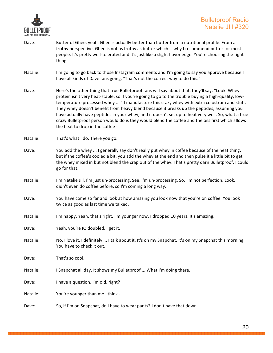

- Dave: Butter of Ghee, yeah. Ghee is actually better than butter from a nutritional profile. From a frothy perspective, Ghee is not as frothy as butter which is why I recommend butter for most people. It's pretty well-tolerated and it's just like a slight flavor edge. You're choosing the right thing -
- Natalie: I'm going to go back to those Instagram comments and I'm going to say you approve because I have all kinds of Dave fans going, "That's not the correct way to do this."
- Dave: Here's the other thing that true Bulletproof fans will say about that, they'll say, "Look. Whey protein isn't very heat-stable, so if you're going to go to the trouble buying a high-quality, lowtemperature processed whey ... " I manufacture this crazy whey with extra colostrum and stuff. They whey doesn't benefit from heavy blend because it breaks up the peptides, assuming you have actually have peptides in your whey, and it doesn't set up to heat very well. So, what a true crazy Bulletproof person would do is they would blend the coffee and the oils first which allows the heat to drop in the coffee -
- Natalie: That's what I do. There you go.
- Dave: You add the whey ... I generally say don't really put whey in coffee because of the heat thing, but if the coffee's cooled a bit, you add the whey at the end and then pulse it a little bit to get the whey mixed in but not blend the crap out of the whey. That's pretty darn Bulletproof. I could go for that.
- Natalie: I'm Natalie Jill. I'm just un-processing. See, I'm un-processing. So, I'm not perfection. Look, I didn't even do coffee before, so I'm coming a long way.
- Dave: You have come so far and look at how amazing you look now that you're on coffee. You look twice as good as last time we talked.
- Natalie: I'm happy. Yeah, that's right. I'm younger now. I dropped 10 years. It's amazing.
- Dave: Yeah, you're IQ doubled. I get it.
- Natalie: No. I love it. I definitely ... I talk about it. It's on my Snapchat. It's on my Snapchat this morning. You have to check it out.
- Dave: That's so cool.
- Natalie: I Snapchat all day. It shows my Bulletproof ... What I'm doing there.
- Dave: I have a question. I'm old, right?
- Natalie: You're younger than me I think -
- Dave: So, if I'm on Snapchat, do I have to wear pants? I don't have that down.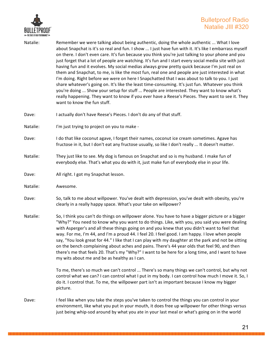

| Natalie: | Remember we were talking about being authentic, doing the whole authentic  What I love<br>about Snapchat is it's so real and fun. I show  I just have fun with it. It's like I embarrass myself<br>on there. I don't even care. It's fun because you think you're just talking to your phone and you<br>just forget that a lot of people are watching. It's fun and I start every social media site with just<br>having fun and it evolves. My social medias always grow pretty quick because I'm just real on<br>them and Snapchat, to me, is like the most fun, real one and people are just interested in what<br>I'm doing. Right before we were on here I Snapchatted that I was about to talk to you. I just<br>share whatever's going on. It's like the least time-consuming. It's just fun. Whatever you think<br>you're doing  Show your setup for stuff  People are interested. They want to know what's<br>really happening. They want to know if you ever have a Reese's Pieces. They want to see it. They<br>want to know the fun stuff. |
|----------|-------------------------------------------------------------------------------------------------------------------------------------------------------------------------------------------------------------------------------------------------------------------------------------------------------------------------------------------------------------------------------------------------------------------------------------------------------------------------------------------------------------------------------------------------------------------------------------------------------------------------------------------------------------------------------------------------------------------------------------------------------------------------------------------------------------------------------------------------------------------------------------------------------------------------------------------------------------------------------------------------------------------------------------------------------|
| Dave:    | I actually don't have Reese's Pieces. I don't do any of that stuff.                                                                                                                                                                                                                                                                                                                                                                                                                                                                                                                                                                                                                                                                                                                                                                                                                                                                                                                                                                                   |
| Natalie: | I'm just trying to project on you to make -                                                                                                                                                                                                                                                                                                                                                                                                                                                                                                                                                                                                                                                                                                                                                                                                                                                                                                                                                                                                           |
| Dave:    | I do that like coconut agave, I forget their names, coconut ice cream sometimes. Agave has<br>fructose in it, but I don't eat any fructose usually, so like I don't really  It doesn't matter.                                                                                                                                                                                                                                                                                                                                                                                                                                                                                                                                                                                                                                                                                                                                                                                                                                                        |
| Natalie: | They just like to see. My dog is famous on Snapchat and so is my husband. I make fun of<br>everybody else. That's what you do with it, just make fun of everybody else in your life.                                                                                                                                                                                                                                                                                                                                                                                                                                                                                                                                                                                                                                                                                                                                                                                                                                                                  |
| Dave:    | All right. I got my Snapchat lesson.                                                                                                                                                                                                                                                                                                                                                                                                                                                                                                                                                                                                                                                                                                                                                                                                                                                                                                                                                                                                                  |
| Natalie: | Awesome.                                                                                                                                                                                                                                                                                                                                                                                                                                                                                                                                                                                                                                                                                                                                                                                                                                                                                                                                                                                                                                              |
| Dave:    | So, talk to me about willpower. You've dealt with depression, you've dealt with obesity, you're<br>clearly in a really happy space. What's your take on willpower?                                                                                                                                                                                                                                                                                                                                                                                                                                                                                                                                                                                                                                                                                                                                                                                                                                                                                    |
| Natalie: | So, I think you can't do things on willpower alone. You have to have a bigger picture or a bigger<br>"Why?" You need to know why you want to do things. Like, with you, you said you were dealing<br>with Asperger's and all these things going on and you knew that you didn't want to feel that<br>way. For me, I'm 44, and I'm a proud 44. I feel 20. I feel good. I am happy. I love when people<br>say, "You look great for 44." I like that I can play with my daughter at the park and not be sitting<br>on the bench complaining about aches and pains. There's 44 year olds that feel 90, and then<br>there's me that feels 20. That's my "Why?" I want to be here for a long time, and I want to have<br>my wits about me and be as healthy as I can.                                                                                                                                                                                                                                                                                       |
|          | To me, there's so much we can't control  There's so many things we can't control, but why not<br>control what we can? I can control what I put in my body. I can control how much I move it. So, I<br>do it. I control that. To me, the willpower part isn't as important because I know my bigger<br>picture.                                                                                                                                                                                                                                                                                                                                                                                                                                                                                                                                                                                                                                                                                                                                        |
| Dave:    | I feel like when you take the steps you've taken to control the things you can control in your<br>environment, like what you put in your mouth, it does free up willpower for other things versus<br>just being whip-sod around by what you ate in your last meal or what's going on in the world                                                                                                                                                                                                                                                                                                                                                                                                                                                                                                                                                                                                                                                                                                                                                     |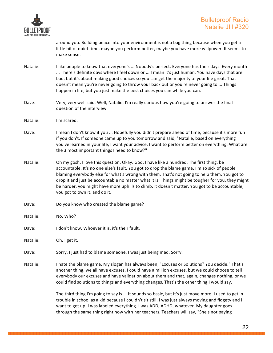

around you. Building peace into your environment is not a bag thing because when you get a little bit of quiet time, maybe you perform better, maybe you have more willpower. It seems to make sense.

- Natalie: I like people to know that everyone's ... Nobody's perfect. Everyone has their days. Every month ... There's definite days where I feel down or ... I mean it's just human. You have days that are bad, but it's about making good choices so you can get the majority of your life great. That doesn't mean you're never going to throw your back out or you're never going to ... Things happen in life, but you just make the best choices you can while you can.
- Dave: Very, very well said. Well, Natalie, I'm really curious how you're going to answer the final question of the interview.
- Natalie: I'm scared.
- Dave: I mean I don't know if you ... Hopefully you didn't prepare ahead of time, because it's more fun if you don't. If someone came up to you tomorrow and said, "Natalie, based on everything you've learned in your life, I want your advice. I want to perform better on everything. What are the 3 most important things I need to know?"
- Natalie: Oh my gosh. I love this question. Okay. God. I have like a hundred. The first thing, be accountable. It's no one else's fault. You got to drop the blame game. I'm so sick of people blaming everybody else for what's wrong with them. That's not going to help them. You got to drop it and just be accountable no matter what it is. Things might be tougher for you, they might be harder, you might have more uphills to climb. It doesn't matter. You got to be accountable, you got to own it, and do it.
- Dave: Do you know who created the blame game?
- Natalie: No. Who?
- Dave: I don't know. Whoever it is, it's their fault.

Natalie: Oh. I get it.

- Dave: Sorry. I just had to blame someone. I was just being mad. Sorry.
- Natalie: I hate the blame game. My slogan has always been, "Excuses or Solutions? You decide." That's another thing, we all have excuses. I could have a million excuses, but we could choose to tell everybody our excuses and have validation about them and that, again, changes nothing, or we could find solutions to things and everything changes. That's the other thing I would say.

The third thing I'm going to say is ... It sounds so basic, but it's just move more. I used to get in trouble in school as a kid because I couldn't sit still. I was just always moving and fidgety and I want to get up. I was labeled everything. I was ADD, ADHD, whatever. My daughter goes through the same thing right now with her teachers. Teachers will say, "She's not paying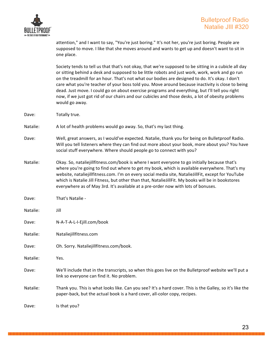

attention," and I want to say, "You're just boring." It's not her, you're just boring. People are supposed to move. I like that she moves around and wants to get up and doesn't want to sit in one place.

Society tends to tell us that that's not okay, that we're supposed to be sitting in a cubicle all day or sitting behind a desk and supposed to be little robots and just work, work, work and go run on the treadmill for an hour. That's not what our bodies are designed to do. It's okay. I don't care what you're teacher of your boss told you. Move around because inactivity is close to being dead. Just move. I could go on about exercise programs and everything, but I'll tell you right now, if we just got rid of our chairs and our cubicles and those desks, a lot of obesity problems would go away.

Dave: Totally true.

Natalie: A lot of health problems would go away. So, that's my last thing.

- Dave: Well, great answers, as I would've expected. Natalie, thank you for being on Bulletproof Radio. Will you tell listeners where they can find out more about your book, more about you? You have social stuff everywhere. Where should people go to connect with you?
- Natalie: Okay. So, nataliejillfitness.com/book is where I want everyone to go initially because that's where you're going to find out where to get my book, which is available everywhere. That's my website, nataliejillfitness.com. I'm on every social media site, NatalieJillFit, except for YouTube which is Natalie Jill Fitness, but other than that, NatalieJillFit. My books will be in bookstores everywhere as of May 3rd. It's available at a pre-order now with lots of bonuses.
- Dave: That's Natalie -
- Natalie: Jill
- Dave: N-A-T-A-L-I-Ejill.com/book
- Natalie: Nataliejillfitness.com
- Dave: Oh. Sorry. Nataliejillfitness.com/book.
- Natalie: Yes.
- Dave: We'll include that in the transcripts, so when this goes live on the Bulletproof website we'll put a link so everyone can find it. No problem.
- Natalie: Thank you. This is what looks like. Can you see? It's a hard cover. This is the Galley, so it's like the paper-back, but the actual book is a hard cover, all-color copy, recipes.

Dave: Is that you?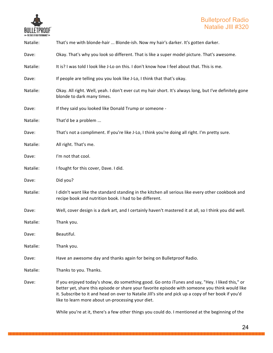

| Natalie: | That's me with blonde-hair  Blonde-ish. Now my hair's darker. It's gotten darker.                                                                                                                                                                                                                                                                              |
|----------|----------------------------------------------------------------------------------------------------------------------------------------------------------------------------------------------------------------------------------------------------------------------------------------------------------------------------------------------------------------|
| Dave:    | Okay. That's why you look so different. That is like a super model picture. That's awesome.                                                                                                                                                                                                                                                                    |
| Natalie: | It is? I was told I look like J-Lo on this. I don't know how I feel about that. This is me.                                                                                                                                                                                                                                                                    |
| Dave:    | If people are telling you you look like J-Lo, I think that that's okay.                                                                                                                                                                                                                                                                                        |
| Natalie: | Okay. All right. Well, yeah. I don't ever cut my hair short. It's always long, but I've definitely gone<br>blonde to dark many times.                                                                                                                                                                                                                          |
| Dave:    | If they said you looked like Donald Trump or someone -                                                                                                                                                                                                                                                                                                         |
| Natalie: | That'd be a problem                                                                                                                                                                                                                                                                                                                                            |
| Dave:    | That's not a compliment. If you're like J-Lo, I think you're doing all right. I'm pretty sure.                                                                                                                                                                                                                                                                 |
| Natalie: | All right. That's me.                                                                                                                                                                                                                                                                                                                                          |
| Dave:    | I'm not that cool.                                                                                                                                                                                                                                                                                                                                             |
| Natalie: | I fought for this cover, Dave. I did.                                                                                                                                                                                                                                                                                                                          |
| Dave:    | Did you?                                                                                                                                                                                                                                                                                                                                                       |
| Natalie: | I didn't want like the standard standing in the kitchen all serious like every other cookbook and<br>recipe book and nutrition book. I had to be different.                                                                                                                                                                                                    |
| Dave:    | Well, cover design is a dark art, and I certainly haven't mastered it at all, so I think you did well.                                                                                                                                                                                                                                                         |
| Natalie: | Thank you.                                                                                                                                                                                                                                                                                                                                                     |
| Dave:    | Beautiful.                                                                                                                                                                                                                                                                                                                                                     |
| Natalie: | Thank you.                                                                                                                                                                                                                                                                                                                                                     |
| Dave:    | Have an awesome day and thanks again for being on Bulletproof Radio.                                                                                                                                                                                                                                                                                           |
| Natalie: | Thanks to you. Thanks.                                                                                                                                                                                                                                                                                                                                         |
| Dave:    | If you enjoyed today's show, do something good. Go onto iTunes and say, "Hey. I liked this," or<br>better yet, share this episode or share your favorite episode with someone you think would like<br>it. Subscribe to it and head on over to Natalie Jill's site and pick up a copy of her book if you'd<br>like to learn more about un-processing your diet. |

While you're at it, there's a few other things you could do. I mentioned at the beginning of the